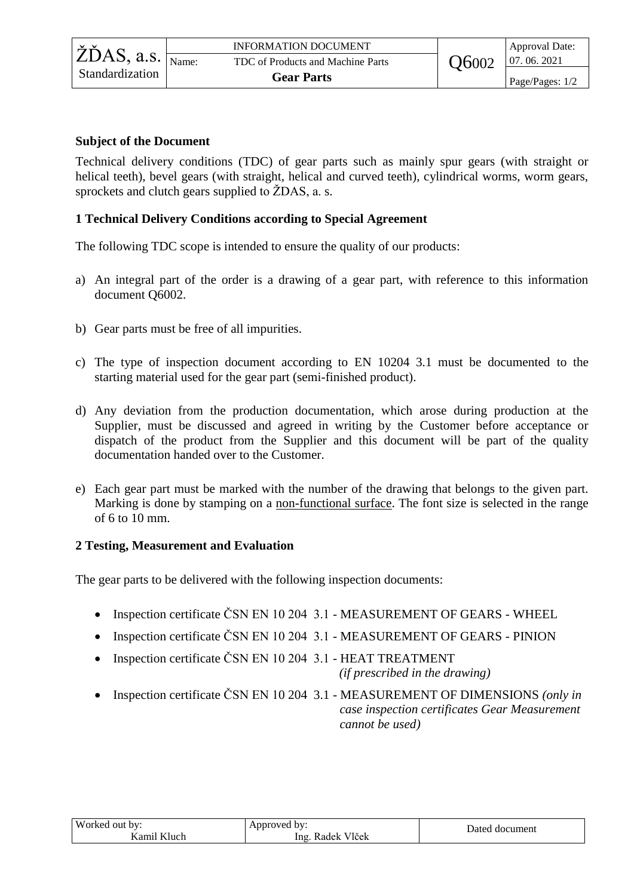## **Subject of the Document**

Technical delivery conditions (TDC) of gear parts such as mainly spur gears (with straight or helical teeth), bevel gears (with straight, helical and curved teeth), cylindrical worms, worm gears, sprockets and clutch gears supplied to ŽDAS, a. s.

## **1 Technical Delivery Conditions according to Special Agreement**

The following TDC scope is intended to ensure the quality of our products:

- a) An integral part of the order is a drawing of a gear part, with reference to this information document Q6002.
- b) Gear parts must be free of all impurities.
- c) The type of inspection document according to EN 10204 3.1 must be documented to the starting material used for the gear part (semi-finished product).
- d) Any deviation from the production documentation, which arose during production at the Supplier, must be discussed and agreed in writing by the Customer before acceptance or dispatch of the product from the Supplier and this document will be part of the quality documentation handed over to the Customer.
- e) Each gear part must be marked with the number of the drawing that belongs to the given part. Marking is done by stamping on a non-functional surface. The font size is selected in the range of 6 to 10 mm.

## **2 Testing, Measurement and Evaluation**

The gear parts to be delivered with the following inspection documents:

- Inspection certificate ČSN EN 10 204 3.1 MEASUREMENT OF GEARS WHEEL
- Inspection certificate ČSN EN 10 204 3.1 MEASUREMENT OF GEARS PINION
- Inspection certificate ČSN EN 10 204 3.1 HEAT TREATMENT *(if prescribed in the drawing)*
- Inspection certificate ČSN EN 10 204 3.1 MEASUREMENT OF DIMENSIONS *(only in case inspection certificates Gear Measurement cannot be used)*

| Worked out by:        | Annroved<br>bv:<br>. .            | Dated document |  |
|-----------------------|-----------------------------------|----------------|--|
| T T1<br>amil.<br>luch | T T1 V<br>Vlček<br>Kadek i<br>Ing |                |  |